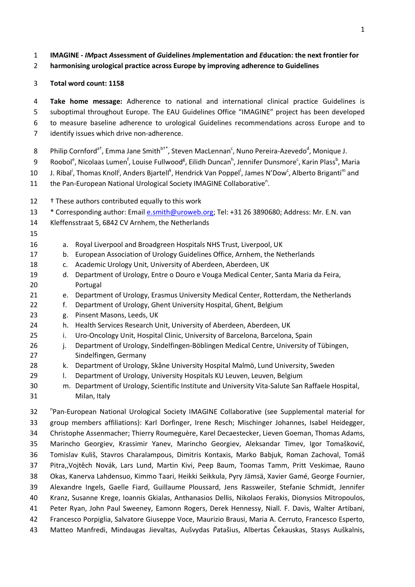## **IMAGINE -** *IM***pact** *A***ssessment of** *G***uidelines** *I***mplementation a***n***d** *E***ducation: the next frontier for**

**harmonising urological practice across Europe by improving adherence to Guidelines**

## **Total word count: 1158**

 **Take home message:** Adherence to national and international clinical practice Guidelines is suboptimal throughout Europe. The EAU Guidelines Office "IMAGINE" project has been developed to measure baseline adherence to urological Guidelines recommendations across Europe and to identify issues which drive non-adherence.

- 8 Philip Cornford<sup>a†</sup>, Emma Jane Smith<sup>b†\*</sup>, Steven MacLennan<sup>c</sup>, Nuno Pereira-Azevedo<sup>d</sup>, Monique J.
- 9 Roobol<sup>e</sup>, Nicolaas Lumen<sup>f</sup>, Louise Fullwood<sup>g</sup>, Eilidh Duncan<sup>h</sup>, Jennifer Dunsmore<sup>c</sup>, Karin Plass<sup>b</sup>, Maria
- 10 J. Ribal<sup>i</sup>, Thomas Knoll<sup>j</sup>, Anders Bjartell<sup>k</sup>, Hendrick Van Poppel<sup>l</sup>, James N'Dow<sup>c</sup>, Alberto Briganti<sup>m</sup> and
- 11 the Pan-European National Urological Society IMAGINE Collaborative<sup>n</sup>.
- † These authors contributed equally to this work
- 13 \* Corresponding author: Emai[l e.smith@uroweb.org;](mailto:e.smith@uroweb.org) Tel: +31 26 3890680; Address: Mr. E.N. van
- Kleffensstraat 5, 6842 CV Arnhem, the Netherlands
- 
- a. Royal Liverpool and Broadgreen Hospitals NHS Trust, Liverpool, UK
- b. European Association of Urology Guidelines Office, Arnhem, the Netherlands
- c. Academic Urology Unit, University of Aberdeen, Aberdeen, UK
- d. Department of Urology, Entre o Douro e Vouga Medical Center, Santa Maria da Feira, Portugal
- e. Department of Urology, Erasmus University Medical Center, Rotterdam, the Netherlands
- f. Department of Urology, Ghent University Hospital, Ghent, Belgium
- g. Pinsent Masons, Leeds, UK
- h. Health Services Research Unit, University of Aberdeen, Aberdeen, UK
- i. Uro-Oncology Unit, Hospital Clinic, University of Barcelona, Barcelona, Spain
- 26 j. Department of Urology, Sindelfingen-Böblingen Medical Centre, University of Tübingen, Sindelfingen, Germany
- 28 k. Department of Urology, Skåne University Hospital Malmö, Lund University, Sweden
- l. Department of Urology, University Hospitals KU Leuven, Leuven, Belgium
- m. Department of Urology, Scientific Institute and University Vita-Salute San Raffaele Hospital, Milan, Italy

32 <sup>P</sup>Pan-European National Urological Society IMAGINE Collaborative (see Supplemental material for group members affiliations): Karl Dorfinger, Irene Resch; Mischinger Johannes, Isabel Heidegger, Christophe Assenmacher; Thierry Roumeguère, Karel Decaestecker, Lieven Goeman, Thomas Adams, Marincho Georgiev, Krassimir Yanev, Marincho Georgiev, Aleksandar Timev, Igor Tomašković, Tomislav Kuliš, Stavros Charalampous, Dimitris Kontaxis, Marko Babjuk, Roman Zachoval, Tomáš Pitra,,Vojtěch Novák, Lars Lund, Martin Kivi, Peep Baum, Toomas Tamm, Pritt Veskimae, Rauno Okas, Kanerva Lahdensuo, Kimmo Taari, Heikki Seikkula, Pyry Jämsä, Xavier Gamé, George Fournier, Alexandre Ingels, Gaelle Fiard, Guillaume Ploussard, Jens Rassweiler, Stefanie Schmidt, Jennifer Kranz, Susanne Krege, Ioannis Gkialas, Anthanasios Dellis, Nikolaos Ferakis, Dionysios Mitropoulos, Peter Ryan, John Paul Sweeney, Eamonn Rogers, Derek Hennessy, Niall. F. Davis, Walter Artibani, Francesco Porpiglia, Salvatore Giuseppe Voce, Maurizio Brausi, Maria A. Cerruto, Francesco Esperto, Matteo Manfredi, Mindaugas Jievaltas, Aušvydas Patašius, Albertas Čekauskas, Stasys Auškalnis,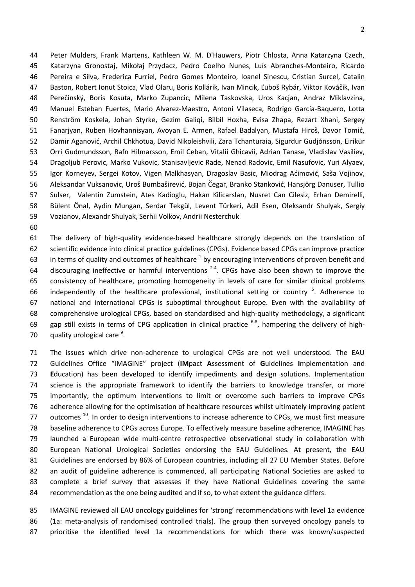Peter Mulders, Frank Martens, Kathleen W. M. D'Hauwers, Piotr Chlosta, Anna Katarzyna Czech, Katarzyna Gronostaj, Mikołaj Przydacz, Pedro Coelho Nunes, Luís Abranches-Monteiro, Ricardo Pereira e Silva, Frederica Furriel, Pedro Gomes Monteiro, Ioanel Sinescu, Cristian Surcel, Catalin Baston, Robert Ionut Stoica, Vlad Olaru, Boris Kollárik, Ivan Mincik, Ľuboš Rybár, Viktor Kováčik, Ivan Perečinský, Boris Kosuta, Marko Zupancic, Milena Taskovska, Uros Kacjan, Andraz Miklavzina, Manuel Esteban Fuertes, Mario Alvarez-Maestro, Antoni Vilaseca, Rodrigo García-Baquero, Lotta Renström Koskela, Johan Styrke, Gezim Galiqi, Bilbil Hoxha, Evisa Zhapa, Rezart Xhani, Sergey Fanarjyan, Ruben Hovhannisyan, Avoyan E. Armen, Rafael Badalyan, Mustafa Hiroš, Davor Tomić, Damir Aganović, Archil Chkhotua, David Nikoleishvili, Zara Tchanturaia, Sigurdur Gudjónsson, Eirikur Orri Gudmundsson, Rafn Hilmarsson, Emil Ceban, Vitalii Ghicavii, Adrian Tanase, Vladislav Vasiliev, Dragoljub Perovic, Marko Vukovic, Stanisavljevic Rade, Nenad Radovic, Emil Nasufovic, Yuri Alyaev, Igor Korneyev, Sergei Kotov, Vigen Malkhasyan, Dragoslav Basic, Miodrag Aćimović, Saša Vojinov, Aleksandar Vuksanovic, Uroš Bumbaširević, Bojan Čegar, Branko Stanković, Hansjörg Danuser, Tullio Sulser, Valentin Zumstein, Ates Kadioglu, Hakan Kilicarslan, Nusret Can Cilesiz, Erhan Demirelli, Bülent Önal, Aydin Mungan, Serdar Tekgül, Levent Türkeri, Adil Esen, Oleksandr Shulyak, Sergiy Vozianov, Alexandr Shulyak, Serhii Volkov, Andrii Nesterchuk

 The delivery of high-quality evidence-based healthcare strongly depends on the translation of scientific evidence into clinical practice guidelines (CPGs). Evidence based CPGs can improve practice 63 in terms of quality and outcomes of healthcare by encouraging interventions of proven benefit and 64 discouraging ineffective or harmful interventions  $2-4$ . CPGs have also been shown to improve the consistency of healthcare, promoting homogeneity in levels of care for similar clinical problems 66 independently of the healthcare professional, institutional setting or country . Adherence to national and international CPGs is suboptimal throughout Europe. Even with the availability of comprehensive urological CPGs, based on standardised and high-quality methodology, a significant 69 gap still exists in terms of CPG application in clinical practice  $6-8$ , hampering the delivery of high-70  $\alpha$  quality urological care  $9$ .

 The issues which drive non-adherence to urological CPGs are not well understood. The EAU Guidelines Office "IMAGINE" project (**IM**pact **A**ssessment of **G**uidelines **I**mplementation a**n**d **E**ducation) has been developed to identify impediments and design solutions. Implementation science is the appropriate framework to identify the barriers to knowledge transfer, or more importantly, the optimum interventions to limit or overcome such barriers to improve CPGs adherence allowing for the optimisation of healthcare resources whilst ultimately improving patient 77 outcomes  $^{10}$ . In order to design interventions to increase adherence to CPGs, we must first measure baseline adherence to CPGs across Europe. To effectively measure baseline adherence, IMAGINE has launched a European wide multi-centre retrospective observational study in collaboration with European National Urological Societies endorsing the EAU Guidelines. At present, the EAU Guidelines are endorsed by 86% of European countries, including all 27 EU Member States. Before an audit of guideline adherence is commenced, all participating National Societies are asked to complete a brief survey that assesses if they have National Guidelines covering the same recommendation as the one being audited and if so, to what extent the guidance differs.

 IMAGINE reviewed all EAU oncology guidelines for 'strong' recommendations with level 1a evidence (1a: meta-analysis of randomised controlled trials). The group then surveyed oncology panels to prioritise the identified level 1a recommendations for which there was known/suspected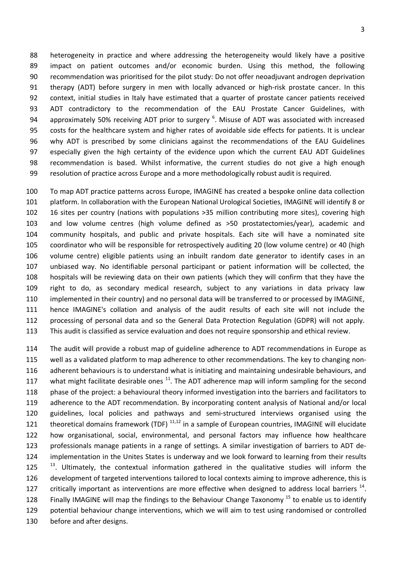heterogeneity in practice and where addressing the heterogeneity would likely have a positive impact on patient outcomes and/or economic burden. Using this method, the following recommendation was prioritised for the pilot study: Do not offer neoadjuvant androgen deprivation therapy (ADT) before surgery in men with locally advanced or high-risk prostate cancer. In this context, initial studies in Italy have estimated that a quarter of prostate cancer patients received ADT contradictory to the recommendation of the EAU Prostate Cancer Guidelines, with 94 approximately 50% receiving ADT prior to surgery . Misuse of ADT was associated with increased costs for the healthcare system and higher rates of avoidable side effects for patients. It is unclear why ADT is prescribed by some clinicians against the recommendations of the EAU Guidelines especially given the high certainty of the evidence upon which the current EAU ADT Guidelines recommendation is based. Whilst informative, the current studies do not give a high enough resolution of practice across Europe and a more methodologically robust audit is required.

 To map ADT practice patterns across Europe, IMAGINE has created a bespoke online data collection platform. In collaboration with the European National Urological Societies, IMAGINE will identify 8 or 16 sites per country (nations with populations >35 million contributing more sites), covering high and low volume centres (high volume defined as >50 prostatectomies/year), academic and community hospitals, and public and private hospitals. Each site will have a nominated site coordinator who will be responsible for retrospectively auditing 20 (low volume centre) or 40 (high volume centre) eligible patients using an inbuilt random date generator to identify cases in an unbiased way. No identifiable personal participant or patient information will be collected, the hospitals will be reviewing data on their own patients (which they will confirm that they have the right to do, as secondary medical research, subject to any variations in data privacy law implemented in their country) and no personal data will be transferred to or processed by IMAGINE, hence IMAGINE's collation and analysis of the audit results of each site will not include the processing of personal data and so the General Data Protection Regulation (GDPR) will not apply. This audit is classified as service evaluation and does not require sponsorship and ethical review.

 The audit will provide a robust map of guideline adherence to ADT recommendations in Europe as well as a validated platform to map adherence to other recommendations. The key to changing non- adherent behaviours is to understand what is initiating and maintaining undesirable behaviours, and 117 what might facilitate desirable ones <sup>11</sup>. The ADT adherence map will inform sampling for the second phase of the project: a behavioural theory informed investigation into the barriers and facilitators to adherence to the ADT recommendation. By incorporating content analysis of National and/or local guidelines, local policies and pathways and semi-structured interviews organised using the 121 theoretical domains framework (TDF)  $11,12$  in a sample of European countries, IMAGINE will elucidate how organisational, social, environmental, and personal factors may influence how healthcare professionals manage patients in a range of settings. A similar investigation of barriers to ADT de- implementation in the Unites States is underway and we look forward to learning from their results <sup>13</sup>. Ultimately, the contextual information gathered in the qualitative studies will inform the development of targeted interventions tailored to local contexts aiming to improve adherence, this is 127 critically important as interventions are more effective when designed to address local barriers  $^{14}$ . 128 Finally IMAGINE will map the findings to the Behaviour Change Taxonomy<sup>15</sup> to enable us to identify potential behaviour change interventions, which we will aim to test using randomised or controlled before and after designs.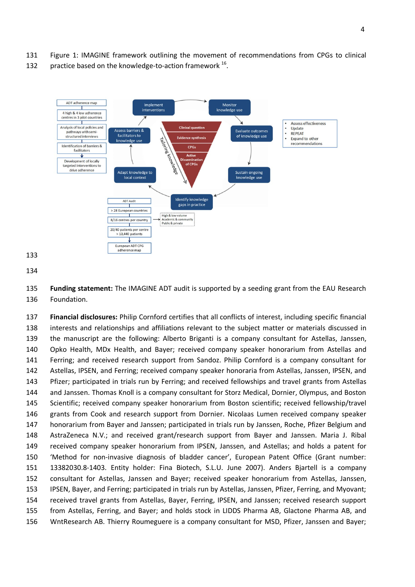- Figure 1: IMAGINE framework outlining the movement of recommendations from CPGs to clinical
- 132 practice based on the knowledge-to-action framework .



 **Funding statement:** The IMAGINE ADT audit is supported by a seeding grant from the EAU Research Foundation.

 **Financial disclosures:** Philip Cornford certifies that all conflicts of interest, including specific financial interests and relationships and affiliations relevant to the subject matter or materials discussed in the manuscript are the following: Alberto Briganti is a company consultant for Astellas, Janssen, Opko Health, MDx Health, and Bayer; received company speaker honorarium from Astellas and Ferring; and received research support from Sandoz. Philip Cornford is a company consultant for Astellas, IPSEN, and Ferring; received company speaker honoraria from Astellas, Janssen, IPSEN, and Pfizer; participated in trials run by Ferring; and received fellowships and travel grants from Astellas and Janssen. Thomas Knoll is a company consultant for Storz Medical, Dornier, Olympus, and Boston Scientific; received company speaker honorarium from Boston scientific; received fellowship/travel grants from Cook and research support from Dornier. Nicolaas Lumen received company speaker honorarium from Bayer and Janssen; participated in trials run by Janssen, Roche, Pfizer Belgium and AstraZeneca N.V.; and received grant/research support from Bayer and Janssen. Maria J. Ribal received company speaker honorarium from IPSEN, Janssen, and Astellas; and holds a patent for 'Method for non-invasive diagnosis of bladder cancer', European Patent Office (Grant number: 13382030.8-1403. Entity holder: Fina Biotech, S.L.U. June 2007). Anders Bjartell is a company consultant for Astellas, Janssen and Bayer; received speaker honorarium from Astellas, Janssen, IPSEN, Bayer, and Ferring; participated in trials run by Astellas, Janssen, Pfizer, Ferring, and Myovant; received travel grants from Astellas, Bayer, Ferring, IPSEN, and Janssen; received research support from Astellas, Ferring, and Bayer; and holds stock in LIDDS Pharma AB, Glactone Pharma AB, and WntResearch AB. Thierry Roumeguere is a company consultant for MSD, Pfizer, Janssen and Bayer;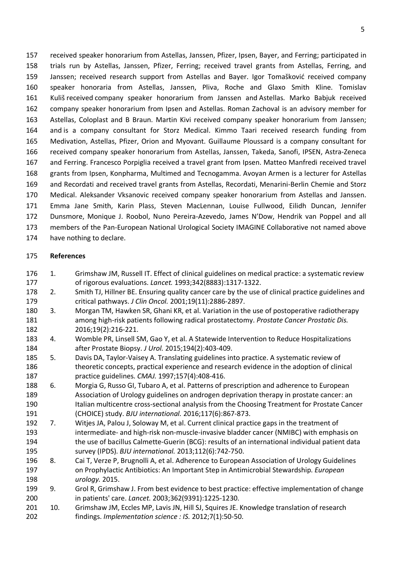received speaker honorarium from Astellas, Janssen, Pfizer, Ipsen, Bayer, and Ferring; participated in trials run by Astellas, Janssen, Pfizer, Ferring; received travel grants from Astellas, Ferring, and Janssen; received research support from Astellas and Bayer. Igor Tomašković received company speaker honoraria from Astellas, Janssen, Pliva, Roche and Glaxo Smith Kline. Tomislav Kuliš received company speaker honorarium from Janssen and Astellas. Marko Babjuk received company speaker honorarium from Ipsen and Astellas. Roman Zachoval is an advisory member for Astellas, Coloplast and B Braun. Martin Kivi received company speaker honorarium from Janssen; and is a company consultant for Storz Medical. Kimmo Taari received research funding from Medivation, Astellas, Pfizer, Orion and Myovant. Guillaume Ploussard is a company consultant for received company speaker honorarium from Astellas, Janssen, Takeda, Sanofi, IPSEN, Astra-Zeneca and Ferring. Francesco Porpiglia received a travel grant from Ipsen. Matteo Manfredi received travel grants from Ipsen, Konpharma, Multimed and Tecnogamma. Avoyan Armen is a lecturer for Astellas and Recordati and received travel grants from Astellas, Recordati, Menarini-Berlin Chemie and Storz Medical. Aleksander Vksanovic received company speaker honorarium from Astellas and Janssen. Emma Jane Smith, Karin Plass, Steven MacLennan, Louise Fullwood, Eilidh Duncan, Jennifer Dunsmore, Monique J. Roobol, Nuno Pereira-Azevedo, James N'Dow, Hendrik van Poppel and all members of the Pan-European National Urological Society IMAGINE Collaborative not named above have nothing to declare.

- **References**
- 1. Grimshaw JM, Russell IT. Effect of clinical guidelines on medical practice: a systematic review of rigorous evaluations. *Lancet.* 1993;342(8883):1317-1322.

 2. Smith TJ, Hillner BE. Ensuring quality cancer care by the use of clinical practice guidelines and critical pathways. *J Clin Oncol.* 2001;19(11):2886-2897.

- 3. Morgan TM, Hawken SR, Ghani KR, et al. Variation in the use of postoperative radiotherapy among high-risk patients following radical prostatectomy. *Prostate Cancer Prostatic Dis.*  2016;19(2):216-221.
- 4. Womble PR, Linsell SM, Gao Y, et al. A Statewide Intervention to Reduce Hospitalizations after Prostate Biopsy. *J Urol.* 2015;194(2):403-409.
- 5. Davis DA, Taylor-Vaisey A. Translating guidelines into practice. A systematic review of theoretic concepts, practical experience and research evidence in the adoption of clinical practice guidelines. *CMAJ.* 1997;157(4):408-416.
- 6. Morgia G, Russo GI, Tubaro A, et al. Patterns of prescription and adherence to European Association of Urology guidelines on androgen deprivation therapy in prostate cancer: an Italian multicentre cross-sectional analysis from the Choosing Treatment for Prostate Cancer (CHOICE) study. *BJU international.* 2016;117(6):867-873.
- 7. Witjes JA, Palou J, Soloway M, et al. Current clinical practice gaps in the treatment of intermediate- and high-risk non-muscle-invasive bladder cancer (NMIBC) with emphasis on the use of bacillus Calmette-Guerin (BCG): results of an international individual patient data survey (IPDS). *BJU international.* 2013;112(6):742-750.
- 8. Cai T, Verze P, Brugnolli A, et al. Adherence to European Association of Urology Guidelines on Prophylactic Antibiotics: An Important Step in Antimicrobial Stewardship. *European urology.* 2015.
- 9. Grol R, Grimshaw J. From best evidence to best practice: effective implementation of change in patients' care. *Lancet.* 2003;362(9391):1225-1230.
- 201 10. Grimshaw JM, Eccles MP, Lavis JN, Hill SJ, Squires JE. Knowledge translation of research findings. *Implementation science : IS.* 2012;7(1):50-50.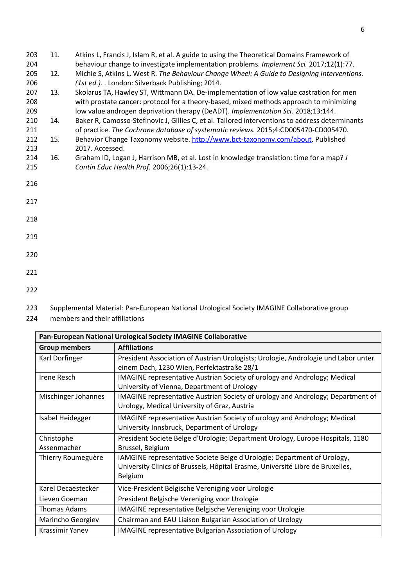| 203 | 11. | Atkins L, Francis J, Islam R, et al. A guide to using the Theoretical Domains Framework of      |
|-----|-----|-------------------------------------------------------------------------------------------------|
| 204 |     | behaviour change to investigate implementation problems. Implement Sci. 2017;12(1):77.          |
| 205 | 12. | Michie S, Atkins L, West R. The Behaviour Change Wheel: A Guide to Designing Interventions.     |
| 206 |     | (1st ed.). . London: Silverback Publishing; 2014.                                               |
| 207 | 13. | Skolarus TA, Hawley ST, Wittmann DA. De-implementation of low value castration for men          |
| 208 |     | with prostate cancer: protocol for a theory-based, mixed methods approach to minimizing         |
| 209 |     | low value androgen deprivation therapy (DeADT). Implementation Sci. 2018;13:144.                |
| 210 | 14. | Baker R, Camosso-Stefinovic J, Gillies C, et al. Tailored interventions to address determinants |
| 211 |     | of practice. The Cochrane database of systematic reviews. 2015;4:CD005470-CD005470.             |
| 212 | 15. | Behavior Change Taxonomy website. http://www.bct-taxonomy.com/about. Published                  |
| 213 |     | 2017. Accessed.                                                                                 |
| 214 | 16. | Graham ID, Logan J, Harrison MB, et al. Lost in knowledge translation: time for a map? J        |
| 215 |     | Contin Educ Health Prof. 2006;26(1):13-24.                                                      |
| 216 |     |                                                                                                 |
| 217 |     |                                                                                                 |
|     |     |                                                                                                 |
| 218 |     |                                                                                                 |
| 219 |     |                                                                                                 |
|     |     |                                                                                                 |
| 220 |     |                                                                                                 |
| 221 |     |                                                                                                 |

222

223 Supplemental Material: Pan-European National Urological Society IMAGINE Collaborative group

224 members and their affiliations

| Pan-European National Urological Society IMAGINE Collaborative |                                                                                                                                                                      |  |  |
|----------------------------------------------------------------|----------------------------------------------------------------------------------------------------------------------------------------------------------------------|--|--|
| <b>Group members</b>                                           | <b>Affiliations</b>                                                                                                                                                  |  |  |
| Karl Dorfinger                                                 | President Association of Austrian Urologists; Urologie, Andrologie und Labor unter<br>einem Dach, 1230 Wien, Perfektastraße 28/1                                     |  |  |
| Irene Resch                                                    | <b>IMAGINE</b> representative Austrian Society of urology and Andrology; Medical<br>University of Vienna, Department of Urology                                      |  |  |
| Mischinger Johannes                                            | IMAGINE representative Austrian Society of urology and Andrology; Department of<br>Urology, Medical University of Graz, Austria                                      |  |  |
| Isabel Heidegger                                               | <b>IMAGINE</b> representative Austrian Society of urology and Andrology; Medical<br>University Innsbruck, Department of Urology                                      |  |  |
| Christophe<br>Assenmacher                                      | President Societe Belge d'Urologie; Department Urology, Europe Hospitals, 1180<br>Brussel, Belgium                                                                   |  |  |
| Thierry Roumeguère                                             | IAMGINE representative Societe Belge d'Urologie; Department of Urology,<br>University Clinics of Brussels, Hôpital Erasme, Université Libre de Bruxelles,<br>Belgium |  |  |
| Karel Decaestecker                                             | Vice-President Belgische Vereniging voor Urologie                                                                                                                    |  |  |
| Lieven Goeman                                                  | President Belgische Vereniging voor Urologie                                                                                                                         |  |  |
| Thomas Adams                                                   | IMAGINE representative Belgische Vereniging voor Urologie                                                                                                            |  |  |
| Marincho Georgiev                                              | Chairman and EAU Liaison Bulgarian Association of Urology                                                                                                            |  |  |
| Krassimir Yanev                                                | <b>IMAGINE representative Bulgarian Association of Urology</b>                                                                                                       |  |  |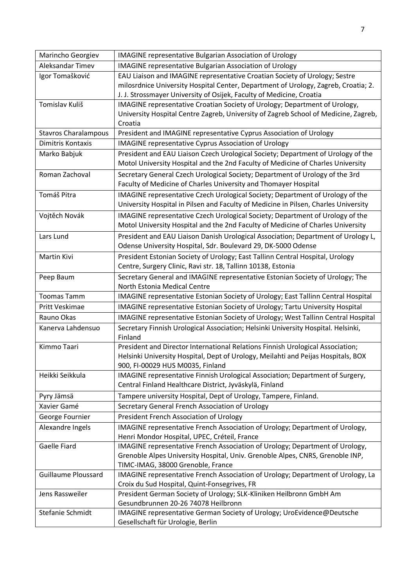| Marincho Georgiev           | <b>IMAGINE representative Bulgarian Association of Urology</b>                      |
|-----------------------------|-------------------------------------------------------------------------------------|
| Aleksandar Timev            | <b>IMAGINE representative Bulgarian Association of Urology</b>                      |
| Igor Tomašković             | EAU Liaison and IMAGINE representative Croatian Society of Urology; Sestre          |
|                             | milosrdnice University Hospital Center, Department of Urology, Zagreb, Croatia; 2.  |
|                             | J. J. Strossmayer University of Osijek, Faculty of Medicine, Croatia                |
| Tomislav Kuliš              | IMAGINE representative Croatian Society of Urology; Department of Urology,          |
|                             | University Hospital Centre Zagreb, University of Zagreb School of Medicine, Zagreb, |
|                             | Croatia                                                                             |
| <b>Stavros Charalampous</b> | President and IMAGINE representative Cyprus Association of Urology                  |
| Dimitris Kontaxis           | <b>IMAGINE representative Cyprus Association of Urology</b>                         |
| Marko Babjuk                | President and EAU Liaison Czech Urological Society; Department of Urology of the    |
|                             | Motol University Hospital and the 2nd Faculty of Medicine of Charles University     |
| Roman Zachoval              | Secretary General Czech Urological Society; Department of Urology of the 3rd        |
|                             | Faculty of Medicine of Charles University and Thomayer Hospital                     |
| Tomáš Pitra                 | IMAGINE representative Czech Urological Society; Department of Urology of the       |
|                             | University Hospital in Pilsen and Faculty of Medicine in Pilsen, Charles University |
| Vojtěch Novák               | IMAGINE representative Czech Urological Society; Department of Urology of the       |
|                             | Motol University Hospital and the 2nd Faculty of Medicine of Charles University     |
| Lars Lund                   | President and EAU Liaison Danish Urological Association; Department of Urology L,   |
|                             | Odense University Hospital, Sdr. Boulevard 29, DK-5000 Odense                       |
| Martin Kivi                 | President Estonian Society of Urology; East Tallinn Central Hospital, Urology       |
|                             | Centre, Surgery Clinic, Ravi str. 18, Tallinn 10138, Estonia                        |
| Peep Baum                   | Secretary General and IMAGINE representative Estonian Society of Urology; The       |
|                             | North Estonia Medical Centre                                                        |
| <b>Toomas Tamm</b>          | IMAGINE representative Estonian Society of Urology; East Tallinn Central Hospital   |
| Pritt Veskimae              | IMAGINE representative Estonian Society of Urology; Tartu University Hospital       |
| Rauno Okas                  | IMAGINE representative Estonian Society of Urology; West Tallinn Central Hospital   |
| Kanerva Lahdensuo           | Secretary Finnish Urological Association; Helsinki University Hospital. Helsinki,   |
|                             | Finland                                                                             |
| Kimmo Taari                 | President and Director International Relations Finnish Urological Association;      |
|                             | Helsinki University Hospital, Dept of Urology, Meilahti and Peijas Hospitals, BOX   |
|                             | 900, FI-00029 HUS M0035, Finland                                                    |
| Heikki Seikkula             | IMAGINE representative Finnish Urological Association; Department of Surgery,       |
|                             | Central Finland Healthcare District, Jyväskylä, Finland                             |
| Pyry Jämsä                  | Tampere university Hospital, Dept of Urology, Tampere, Finland.                     |
| Xavier Gamé                 | Secretary General French Association of Urology                                     |
| George Fournier             | President French Association of Urology                                             |
| Alexandre Ingels            | IMAGINE representative French Association of Urology; Department of Urology,        |
|                             | Henri Mondor Hospital, UPEC, Créteil, France                                        |
| Gaelle Fiard                | IMAGINE representative French Association of Urology; Department of Urology,        |
|                             | Grenoble Alpes University Hospital, Univ. Grenoble Alpes, CNRS, Grenoble INP,       |
|                             | TIMC-IMAG, 38000 Grenoble, France                                                   |
| <b>Guillaume Ploussard</b>  | IMAGINE representative French Association of Urology; Department of Urology, La     |
|                             | Croix du Sud Hospital, Quint-Fonsegrives, FR                                        |
| Jens Rassweiler             | President German Society of Urology; SLK-Kliniken Heilbronn GmbH Am                 |
|                             | Gesundbrunnen 20-26 74078 Heilbronn                                                 |
| Stefanie Schmidt            | IMAGINE representative German Society of Urology; UroEvidence@Deutsche              |
|                             | Gesellschaft für Urologie, Berlin                                                   |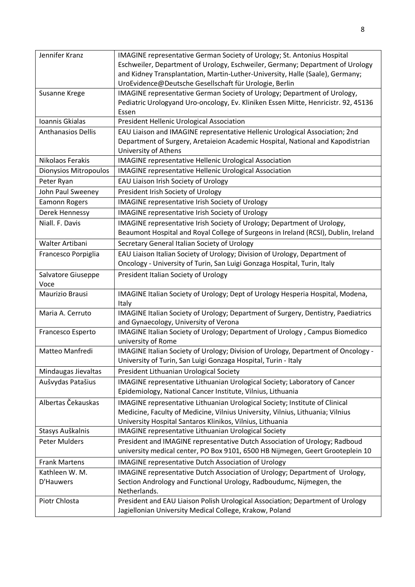| Jennifer Kranz            | IMAGINE representative German Society of Urology; St. Antonius Hospital                           |
|---------------------------|---------------------------------------------------------------------------------------------------|
|                           | Eschweiler, Department of Urology, Eschweiler, Germany; Department of Urology                     |
|                           | and Kidney Transplantation, Martin-Luther-University, Halle (Saale), Germany;                     |
|                           | UroEvidence@Deutsche Gesellschaft für Urologie, Berlin                                            |
| Susanne Krege             | IMAGINE representative German Society of Urology; Department of Urology,                          |
|                           | Pediatric Urologyand Uro-oncology, Ev. Kliniken Essen Mitte, Henricistr. 92, 45136                |
|                           | Essen                                                                                             |
| Ioannis Gkialas           | President Hellenic Urological Association                                                         |
| <b>Anthanasios Dellis</b> | EAU Liaison and IMAGINE representative Hellenic Urological Association; 2nd                       |
|                           | Department of Surgery, Aretaieion Academic Hospital, National and Kapodistrian                    |
|                           | <b>University of Athens</b>                                                                       |
| Nikolaos Ferakis          | IMAGINE representative Hellenic Urological Association                                            |
| Dionysios Mitropoulos     | <b>IMAGINE representative Hellenic Urological Association</b>                                     |
| Peter Ryan                | EAU Liaison Irish Society of Urology                                                              |
| John Paul Sweeney         | President Irish Society of Urology                                                                |
| Eamonn Rogers             | <b>IMAGINE representative Irish Society of Urology</b>                                            |
| Derek Hennessy            | IMAGINE representative Irish Society of Urology                                                   |
| Niall. F. Davis           | IMAGINE representative Irish Society of Urology; Department of Urology,                           |
|                           | Beaumont Hospital and Royal College of Surgeons in Ireland (RCSI), Dublin, Ireland                |
| Walter Artibani           | Secretary General Italian Society of Urology                                                      |
| Francesco Porpiglia       | EAU Liaison Italian Society of Urology; Division of Urology, Department of                        |
|                           | Oncology - University of Turin, San Luigi Gonzaga Hospital, Turin, Italy                          |
| Salvatore Giuseppe        | President Italian Society of Urology                                                              |
| Voce                      |                                                                                                   |
| Maurizio Brausi           | IMAGINE Italian Society of Urology; Dept of Urology Hesperia Hospital, Modena,                    |
|                           | Italy                                                                                             |
| Maria A. Cerruto          | IMAGINE Italian Society of Urology; Department of Surgery, Dentistry, Paediatrics                 |
|                           | and Gynaecology, University of Verona                                                             |
| Francesco Esperto         | IMAGINE Italian Society of Urology; Department of Urology, Campus Biomedico<br>university of Rome |
| Matteo Manfredi           | IMAGINE Italian Society of Urology; Division of Urology, Department of Oncology -                 |
|                           | University of Turin, San Luigi Gonzaga Hospital, Turin - Italy                                    |
| Mindaugas Jievaltas       | President Lithuanian Urological Society                                                           |
| Aušvydas Patašius         | IMAGINE representative Lithuanian Urological Society; Laboratory of Cancer                        |
|                           | Epidemiology, National Cancer Institute, Vilnius, Lithuania                                       |
| Albertas Čekauskas        | IMAGINE representative Lithuanian Urological Society; Institute of Clinical                       |
|                           | Medicine, Faculty of Medicine, Vilnius University, Vilnius, Lithuania; Vilnius                    |
|                           | University Hospital Santaros Klinikos, Vilnius, Lithuania                                         |
| Stasys Auškalnis          | IMAGINE representative Lithuanian Urological Society                                              |
| <b>Peter Mulders</b>      | President and IMAGINE representative Dutch Association of Urology; Radboud                        |
|                           | university medical center, PO Box 9101, 6500 HB Nijmegen, Geert Grooteplein 10                    |
| <b>Frank Martens</b>      | <b>IMAGINE representative Dutch Association of Urology</b>                                        |
| Kathleen W. M.            | IMAGINE representative Dutch Association of Urology; Department of Urology,                       |
| D'Hauwers                 | Section Andrology and Functional Urology, Radboudumc, Nijmegen, the                               |
|                           | Netherlands.                                                                                      |
| Piotr Chlosta             | President and EAU Liaison Polish Urological Association; Department of Urology                    |
|                           | Jagiellonian University Medical College, Krakow, Poland                                           |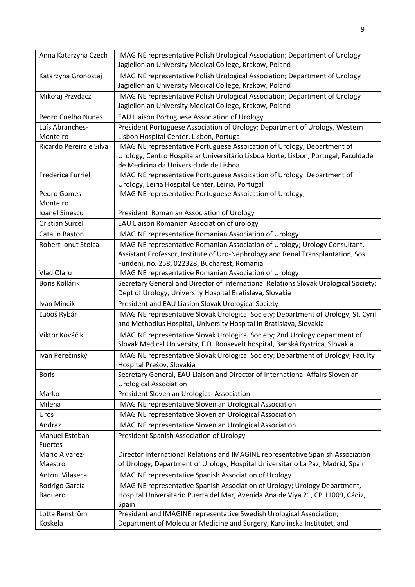| Anna Katarzyna Czech     | IMAGINE representative Polish Urological Association; Department of Urology          |
|--------------------------|--------------------------------------------------------------------------------------|
|                          | Jagiellonian University Medical College, Krakow, Poland                              |
| Katarzyna Gronostaj      | IMAGINE representative Polish Urological Association; Department of Urology          |
|                          | Jagiellonian University Medical College, Krakow, Poland                              |
| Mikołaj Przydacz         | IMAGINE representative Polish Urological Association; Department of Urology          |
|                          | Jagiellonian University Medical College, Krakow, Poland                              |
| Pedro Coelho Nunes       | EAU Liaison Portuguese Association of Urology                                        |
| Luís Abranches-          | President Portuguese Association of Urology; Department of Urology, Western          |
| Monteiro                 | Lisbon Hospital Center, Lisbon, Portugal                                             |
| Ricardo Pereira e Silva  | IMAGINE representative Portuguese Assoication of Urology; Department of              |
|                          | Urology, Centro Hospitalar Universitário Lisboa Norte, Lisbon, Portugal; Faculdade   |
|                          | de Medicina da Universidade de Lisboa                                                |
| <b>Frederica Furriel</b> | IMAGINE representative Portuguese Assoication of Urology; Department of              |
|                          | Urology, Leiria Hospital Center, Leiria, Portugal                                    |
| Pedro Gomes              | IMAGINE representative Portuguese Assoication of Urology;                            |
| Monteiro                 |                                                                                      |
| Ioanel Sinescu           | President Romanian Association of Urology                                            |
| <b>Cristian Surcel</b>   | EAU Liaison Romanian Association of urology                                          |
| Catalin Baston           | <b>IMAGINE representative Romanian Association of Urology</b>                        |
| Robert Ionut Stoica      | IMAGINE representative Romanian Association of Urology; Urology Consultant,          |
|                          | Assistant Professor, Institute of Uro-Nephrology and Renal Transplantation, Sos.     |
|                          | Fundeni, no. 258, 022328, Bucharest, Romania                                         |
| Vlad Olaru               | <b>IMAGINE representative Romanian Association of Urology</b>                        |
| Boris Kollárik           | Secretary General and Director of International Relations Slovak Urological Society; |
|                          | Dept of Urology, University Hospital Bratislava, Slovakia                            |
| Ivan Mincik              | President and EAU Liasion Slovak Urological Society                                  |
| Ľuboš Rybár              | IMAGINE representative Slovak Urological Society; Department of Urology, St. Cyril   |
|                          | and Methodius Hospital, University Hospital in Bratislava, Slovakia                  |
| Viktor Kováčik           | IMAGINE representative Slovak Urological Society; 2nd Urology department of          |
|                          | Slovak Medical University, F.D. Roosevelt hospital, Banská Bystrica, Slovakia        |
| Ivan Perečinský          | IMAGINE representative Slovak Urological Society; Department of Urology, Faculty     |
|                          | Hospital Prešov, Slovakia                                                            |
| <b>Boris</b>             | Secretary General, EAU Liaison and Director of International Affairs Slovenian       |
|                          | <b>Urological Association</b>                                                        |
| Marko                    | President Slovenian Urological Association                                           |
| Milena                   | <b>IMAGINE representative Slovenian Urological Association</b>                       |
| Uros                     | <b>IMAGINE representative Slovenian Urological Association</b>                       |
| Andraz                   | <b>IMAGINE representative Slovenian Urological Association</b>                       |
| Manuel Esteban           | President Spanish Association of Urology                                             |
| Fuertes                  |                                                                                      |
| Mario Alvarez-           | Director International Relations and IMAGINE representative Spanish Association      |
| Maestro                  | of Urology; Department of Urology, Hospital Universitario La Paz, Madrid, Spain      |
| Antoni Vilaseca          | IMAGINE representative Spanish Association of Urology                                |
| Rodrigo García-          | IMAGINE representative Spanish Association of Urology; Urology Department,           |
| Baquero                  | Hospital Universitario Puerta del Mar, Avenida Ana de Viya 21, CP 11009, Cádiz,      |
|                          | Spain                                                                                |
| Lotta Renström           | President and IMAGINE representative Swedish Urological Association;                 |
| Koskela                  | Department of Molecular Medicine and Surgery, Karolinska Institutet, and             |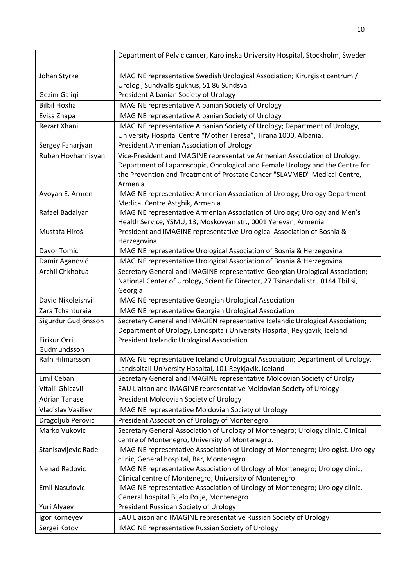|                             | Department of Pelvic cancer, Karolinska University Hospital, Stockholm, Sweden                                             |
|-----------------------------|----------------------------------------------------------------------------------------------------------------------------|
| Johan Styrke                | IMAGINE representative Swedish Urological Association; Kirurgiskt centrum /<br>Urologi, Sundvalls sjukhus, 51 86 Sundsvall |
| Gezim Galiqi                | President Albanian Society of Urology                                                                                      |
| <b>Bilbil Hoxha</b>         | <b>IMAGINE representative Albanian Society of Urology</b>                                                                  |
| Evisa Zhapa                 | <b>IMAGINE representative Albanian Society of Urology</b>                                                                  |
| <b>Rezart Xhani</b>         | IMAGINE representative Albanian Society of Urology; Department of Urology,                                                 |
|                             | University Hospital Centre "Mother Teresa", Tirana 1000, Albania.                                                          |
| Sergey Fanarjyan            | President Armenian Association of Urology                                                                                  |
| Ruben Hovhannisyan          | Vice-President and IMAGINE representative Armenian Association of Urology;                                                 |
|                             | Department of Laparoscopic, Oncological and Female Urology and the Centre for                                              |
|                             | the Prevention and Treatment of Prostate Cancer "SLAVMED" Medical Centre,                                                  |
|                             | Armenia                                                                                                                    |
| Avoyan E. Armen             | IMAGINE representative Armenian Association of Urology; Urology Department<br>Medical Centre Astghik, Armenia              |
| Rafael Badalyan             | IMAGINE representative Armenian Association of Urology; Urology and Men's                                                  |
|                             | Health Service, YSMU, 13, Moskovyan str., 0001 Yerevan, Armenia                                                            |
| Mustafa Hiroš               | President and IMAGINE representative Urological Association of Bosnia &                                                    |
|                             | Herzegovina                                                                                                                |
| Davor Tomić                 | IMAGINE representative Urological Association of Bosnia & Herzegovina                                                      |
| Damir Aganović              | IMAGINE representative Urological Association of Bosnia & Herzegovina                                                      |
| Archil Chkhotua             | Secretary General and IMAGINE representative Georgian Urological Association;                                              |
|                             | National Center of Urology, Scientific Director, 27 Tsinandali str., 0144 Tbilisi,                                         |
|                             | Georgia                                                                                                                    |
| David Nikoleishvili         | <b>IMAGINE representative Georgian Urological Association</b>                                                              |
| Zara Tchanturaia            | <b>IMAGINE representative Georgian Urological Association</b>                                                              |
| Sigurdur Gudjónsson         | Secretary General and IMAGIEN representative Icelandic Urological Association;                                             |
|                             | Department of Urology, Landspitali University Hospital, Reykjavik, Iceland                                                 |
| Eirikur Orri<br>Gudmundsson | President Icelandic Urological Association                                                                                 |
| Rafn Hilmarsson             | IMAGINE representative Icelandic Urological Association; Department of Urology,                                            |
|                             | Landspitali University Hospital, 101 Reykjavik, Iceland                                                                    |
| Emil Ceban                  | Secretary General and IMAGINE representative Moldovian Society of Urolgy                                                   |
| Vitalii Ghicavii            | EAU Liaison and IMAGINE representative Moldovian Society of Urology                                                        |
| <b>Adrian Tanase</b>        | President Moldovian Society of Urology                                                                                     |
| Vladislav Vasiliev          | <b>IMAGINE representative Moldovian Society of Urology</b>                                                                 |
| Dragoljub Perovic           | President Association of Urology of Montenegro                                                                             |
|                             | Secretary General Association of Urology of Montenegro; Urology clinic, Clinical                                           |
| Marko Vukovic               | centre of Montenegro, University of Montenegro.                                                                            |
| Stanisavljevic Rade         | IMAGINE representative Association of Urology of Montenegro; Urologist. Urology                                            |
|                             | clinic, General hospital, Bar, Montenegro                                                                                  |
| Nenad Radovic               | IMAGINE representative Association of Urology of Montenegro; Urology clinic,                                               |
|                             | Clinical centre of Montenegro, University of Montenegro                                                                    |
| <b>Emil Nasufovic</b>       | IMAGINE representative Association of Urology of Montenegro; Urology clinic,                                               |
|                             | General hospital Bijelo Polje, Montenegro                                                                                  |
| Yuri Alyaev                 | President Russioan Society of Urology                                                                                      |
| Igor Korneyev               | EAU Liaison and IMAGINE representative Russian Society of Urology                                                          |
| Sergei Kotov                | <b>IMAGINE representative Russian Society of Urology</b>                                                                   |